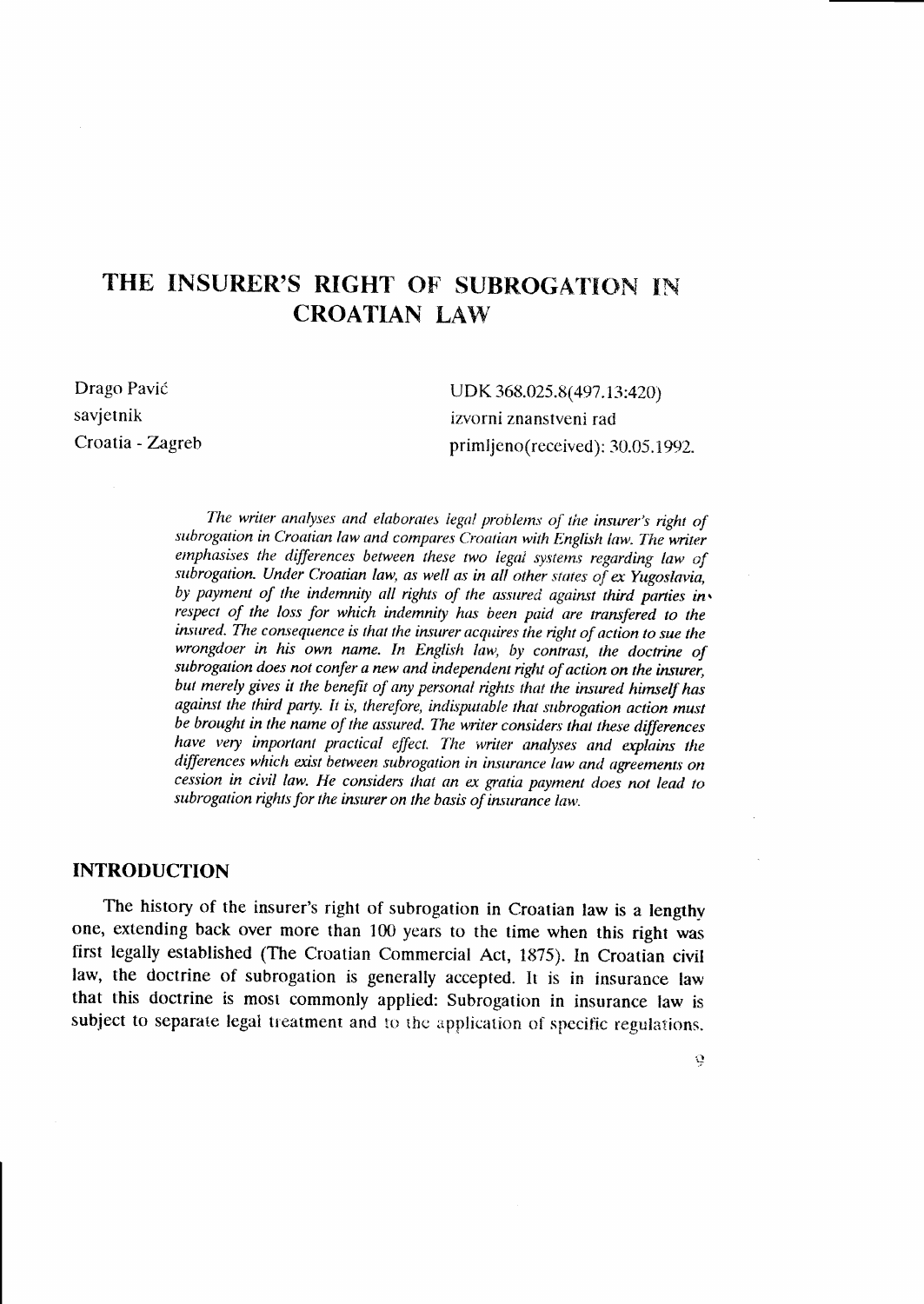# THE INSURER'S RIGHT OF SUBROGATION IN **CROATIAN LAW**

Drago Pavić savjetnik Croatia - Zagreb

UDK 368.025.8(497.13:420) izvorni znanstveni rad primljeno(received): 30.05.1992.

The writer analyses and elaborates legal problems of the insurer's right of subrogation in Croatian law and compares Croatian with English law. The writer emphasises the differences between these two legal systems regarding law of subrogation. Under Croatian law, as well as in all other states of ex Yugoslavia, by payment of the indemnity all rights of the assured against third parties inv respect of the loss for which indemnity has been paid are transfered to the insured. The consequence is that the insurer acquires the right of action to sue the wrongdoer in his own name. In English law, by contrast, the doctrine of subrogation does not confer a new and independent right of action on the insurer. but merely gives it the benefit of any personal rights that the insured himself has against the third party. It is, therefore, indisputable that subrogation action must be brought in the name of the assured. The writer considers that these differences have very important practical effect. The writer analyses and explains the differences which exist between subrogation in insurance law and agreements on cession in civil law. He considers that an ex gratia payment does not lead to subrogation rights for the insurer on the basis of insurance law.

#### **INTRODUCTION**

The history of the insurer's right of subrogation in Croatian law is a lengthy one, extending back over more than 100 years to the time when this right was first legally established (The Croatian Commercial Act, 1875). In Croatian civil law, the doctrine of subrogation is generally accepted. It is in insurance law that this doctrine is most commonly applied: Subrogation in insurance law is subject to separate legal treatment and to the application of specific regulations.

ġ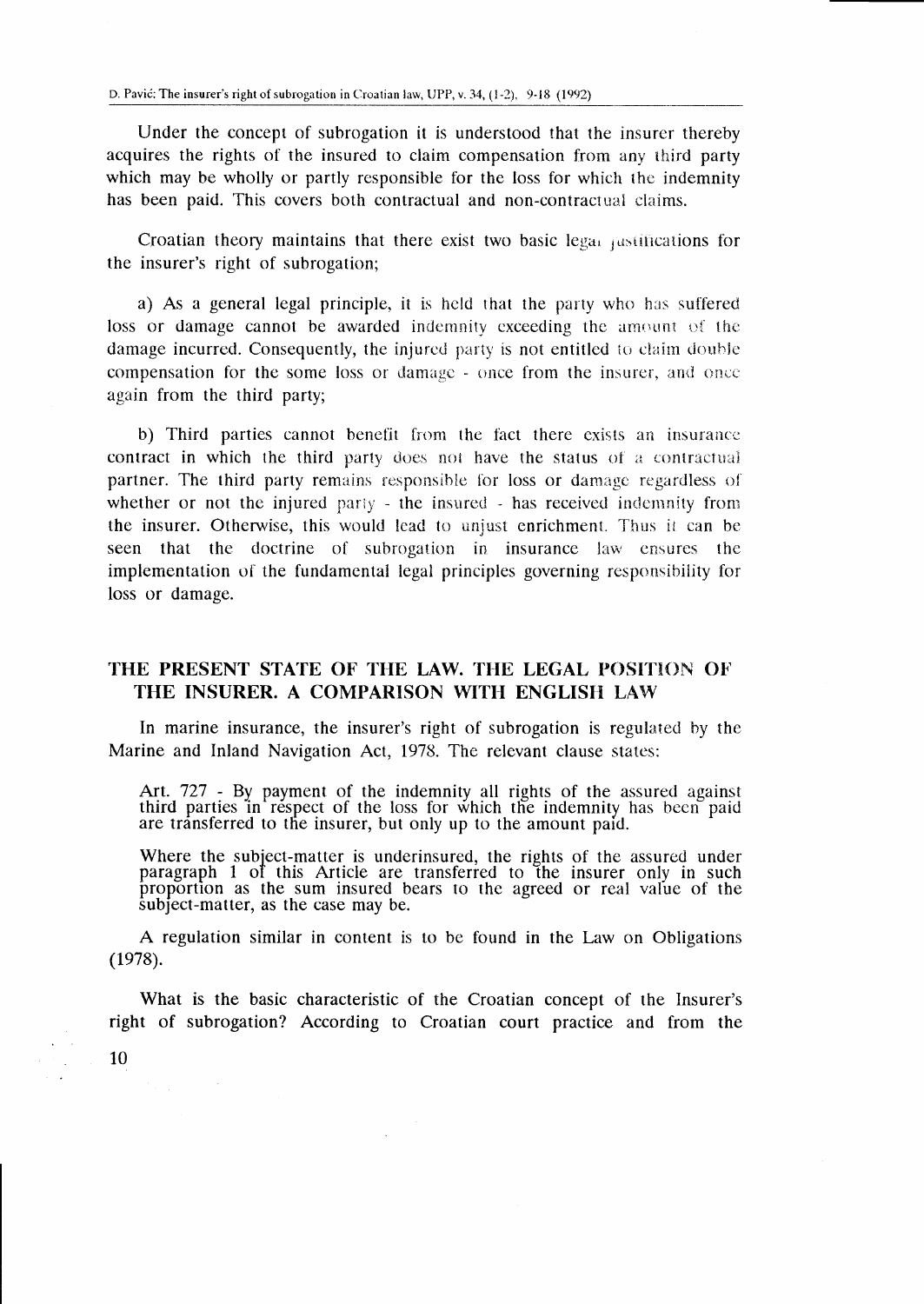Under the concept of subrogation it is understood that the insurer thereby acquires the rights of the insured to claim compensation from any third party which may be wholly or partly responsible for the loss for which the indemnity has been paid. This covers both contractual and non-contractual claims.

Croatian theory maintains that there exist two basic legal rustifications for the insurer's right of subrogation;

a) As a general legal principle, it is held that the party who has suffered loss or damage cannot be awarded indemnity exceeding the amount of the damage incurred. Consequently, the injured party is not entitled to claim double compensation for the some loss or damage - once from the insurer, and once again from the third party:

b) Third parties cannot benefit from the fact there exists an insurance contract in which the third party does not have the status of a contractual partner. The third party remains responsible for loss or damage regardless of whether or not the injured party - the insured - has received indemnity from the insurer. Otherwise, this would lead to unjust enrichment. Thus it can be seen that the doctrine of subrogation in insurance law ensures the implementation of the fundamental legal principles governing responsibility for loss or damage.

## THE PRESENT STATE OF THE LAW. THE LEGAL POSITION OF THE INSURER. A COMPARISON WITH ENGLISH LAW

In marine insurance, the insurer's right of subrogation is regulated by the Marine and Inland Navigation Act, 1978. The relevant clause states:

Art. 727 - By payment of the indemnity all rights of the assured against third parties in respect of the loss for which the indemnity has been paid are transferred to the insurer, but only up to the amount paid.

Where the subject-matter is underinsured, the rights of the assured under paragraph 1 of this Article are transferred to the insurer only in such proportion as the sum insured bears to the agreed or real value of the subject-matter, as the case may be.

A regulation similar in content is to be found in the Law on Obligations  $(1978).$ 

What is the basic characteristic of the Croatian concept of the Insurer's right of subrogation? According to Croatian court practice and from the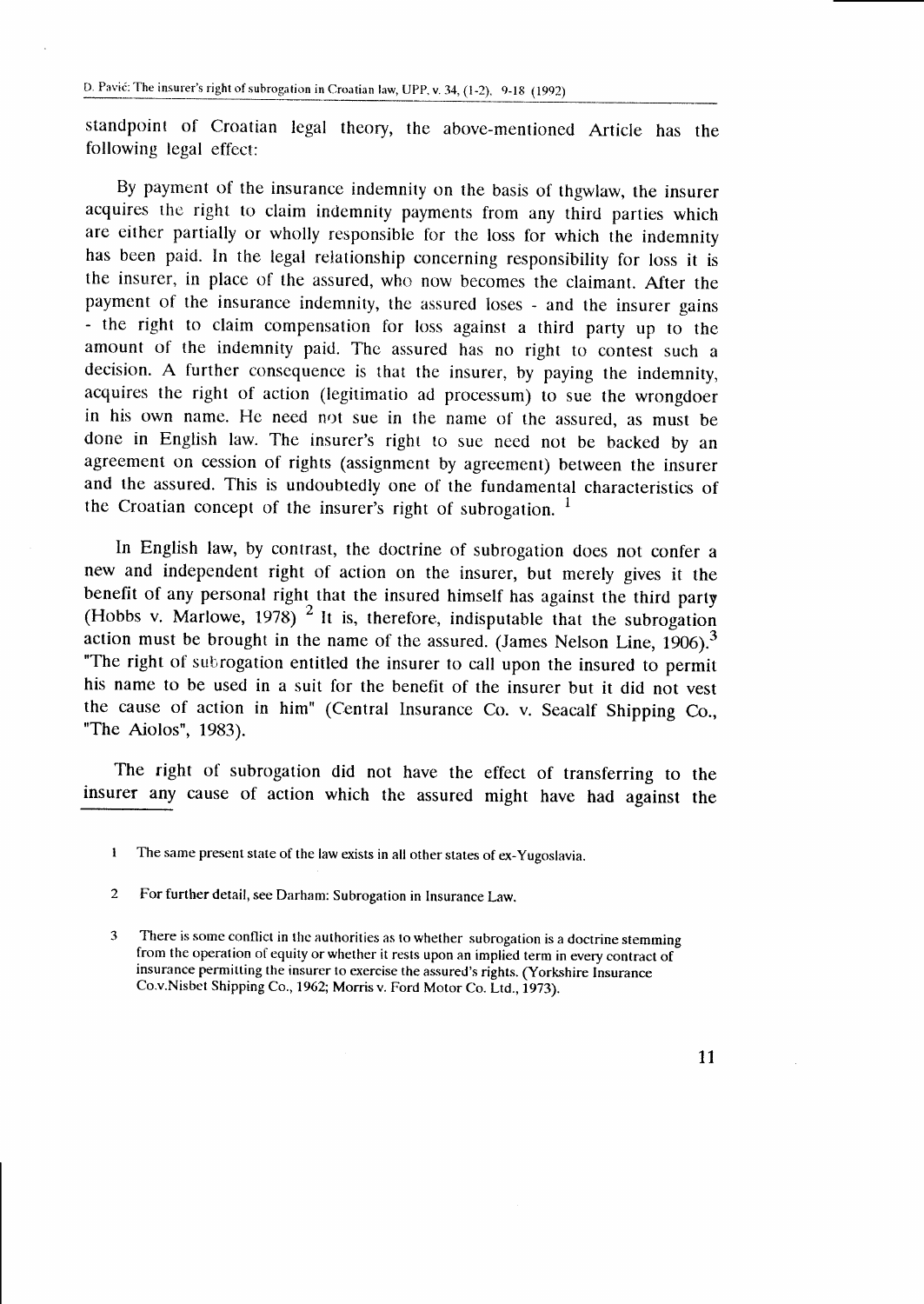standpoinl of Croatian legal theory, the above-mentioned Article has the following legal effect:

By payment of the insurance indemnity on the basis of thgwlaw, the insurer acquires the right to claim indemnity payments from any third parties which are either partially or wholly responsible for the loss for which the inclemnity has been paid. In the legal relationship concerning responsibility for loss it is the insurer, in place of the assured, who now becomes the claimant. After the payment of the insurance indemnity, the assured loses - and the insurer gains - the right to claim compensation for loss against a third party up to the amount of the indemnity paid. The assured has no right to contest such a decision. A further consequence is that the insurer, by paying the indemnity, acquires the right of action (legitimatio ad processum) to sue the wrongdoer in his own name. He need not sue in the name of the assured, as must be done in English law. The insurer's right to sue need not be backed by an agreement on cession of rights (assignment by agreement) between the insurer and the assured. This is undoubtedly one of the fundamental characteristics of the Croatian concept of the insurer's right of subrogation.  $\frac{1}{1}$ 

In English law, by contrast, the doctrine of subrogation does not confer <sup>a</sup> new and independent right of action on the insurer, but merely gives it the benefit of any personal right that the insured himself has against the third party (Hobbs v. Marlowe, 1978) <sup>2</sup> It is, therefore, indisputable that the subrogation action must be brought in the name of the assured. (James Nelson Line,  $1906$ ).<sup>3</sup> "The right of subrogation entitled the insurer to call upon the insured to permit his name to be used in a suit for the benefit of the insurer but it did not vest the cause of action in him" (Central lnsurance Co. v. Seacalf Shipping Co., "The Aiolos", 1983).

The right of subrogation did not have the effect of transferring to the insurer any cause of action which the assured might have hacl against the

 $\mathbf{1}$ The same present state of the law exists in all other states of ex-Yugoslavia.

 $\mathcal{L}$ For further detail, see Darham: Subrogation in Insurance Law.

 $\mathbf{a}$ There is some conflict in the authorities as to whether subrogation is a doctrine stemming from the operation of equity or whether it rests upon an implied term in every contract of insurance permitting the insurer to exercise the assured's rights. (Yorkshire Insurance Co.v.Nisbet Shipping Co., 1962; Morris v. Ford Motor Co. Ltd., 1973).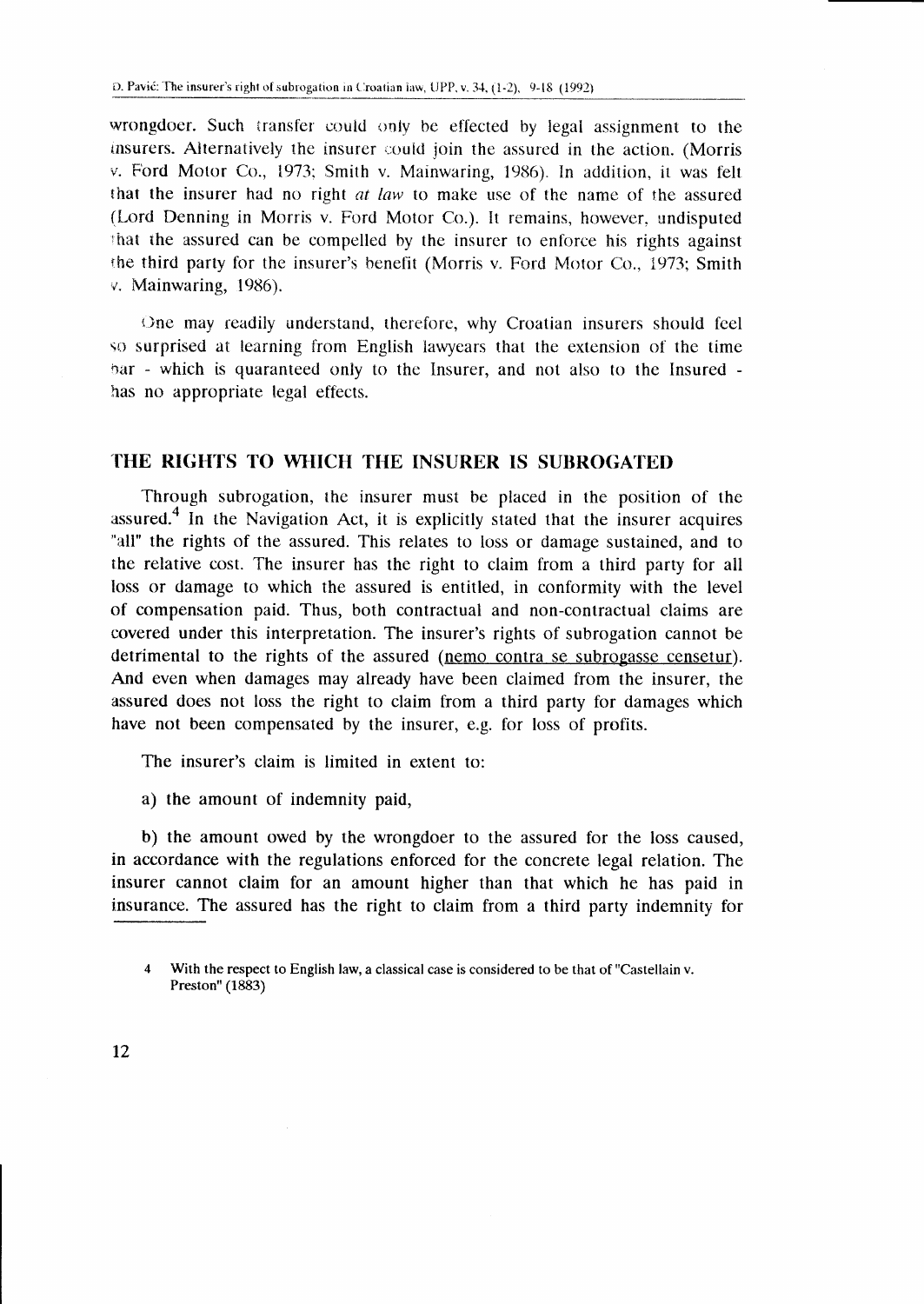wrongdoer. Such transfer could only be effected by legal assignment to the insurers. Alternatively the insurer could join the assured in the action. (Morris v. Ford Motor Co., 1973; Smith v. Mainwaring, 1986). In addition, it was felt that the insurer had no right at law to make use of the name of the assured (Lord Denning in Morris v. Ford Motor Co.). It remains, however, undisputed that the assured can be compelled by the insurer to enforce his rights against the third party for the insurer's benefit (Morris v. Ford Motor Co., 1973; Smith v. Mainwaring, 1986).

One may readily understand, therefore, why Croatian insurers should feel so surprised at learning from English lawyears that the extension of the time bar - which is quaranteed only to the Insurer, and not also to the Insured has no appropriate legal effects.

## THE RIGHTS TO WHICH THE INSURER IS SUBROGATED

Through subrogation, the insurer must be placed in the position of the assured.<sup>4</sup> In the Navigation Act, it is explicitly stated that the insurer acquires "all" the rights of the assured. This relates to loss or damage sustained, and to the relative cost. The insurer has the right to claim from a third party for all loss or damage to which the assured is entitled, in conformity with the level of compensation paid. Thus, both contractual and non-contractual claims are covered under this interpretation. The insurer's rights of subrogation cannot be detrimental to the rights of the assured (nemo contra se subrogasse censetur). And even when damages may already have been claimed from the insurer, the assured does not loss the right to claim from a third party for damages which have not been compensated by the insurer, e.g. for loss of profits.

The insurer's claim is limited in extent to:

a) the amount of indemnity paid,

b) the amount owed by the wrongdoer to the assured for the loss caused, in accordance with the regulations enforced for the concrete legal relation. The insurer cannot claim for an amount higher than that which he has paid in insurance. The assured has the right to claim from a third party indemnity for

 $\mathbf{A}$ With the respect to English law, a classical case is considered to be that of "Castellain v. Preston" (1883)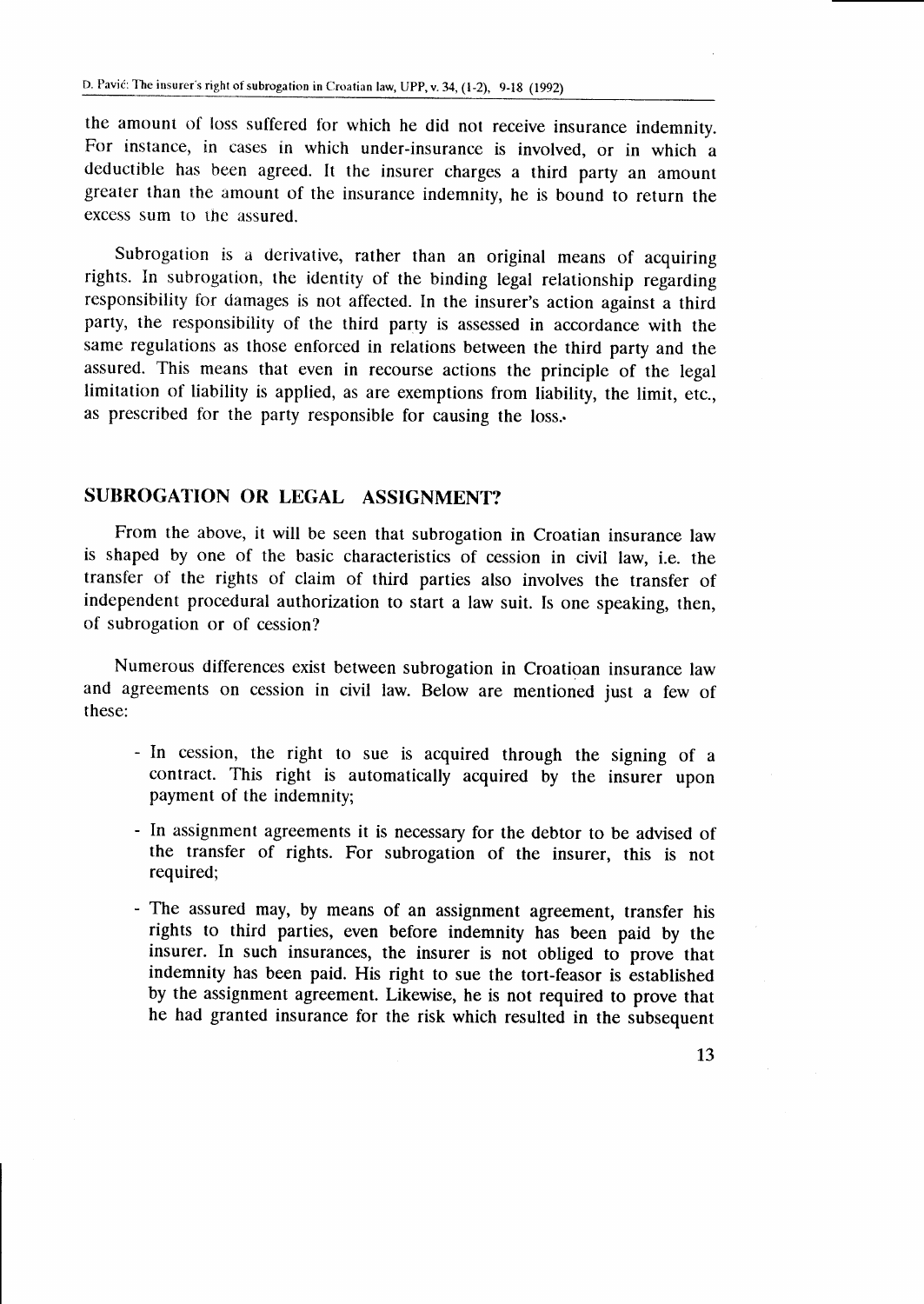the amount of loss suffered for which he did not receive insurance indemnity. For instance, in cases in which under-insurance is involved, or in which a deductible has been agreed. It the insurer charges a third party an amount greater than the amount of the insurance indemnity, he is bound to return the excess sum to the assured.

Subrogation is a derivative, rather than an original means of acquiring rights. In subrogation, the identity of the binding legal relationship regarding responsibility for damages is not affected. In the insurer's action against a third party, the responsibility of the third party is assessed in accordance with the same regulations as those enforced in relations between the third party and the assured. This means that even in recourse actions the principle of the legal limitation of liability is applied, as are exemptions from liability, the limit, etc., as prescribed for the party responsible for causing the loss..

## SUBROGATION OR LEGAL ASSIGNMENT?

From the above, it will be seen that subrogation in Croatian insurance law is shaped by one of the basic characteristics of cession in civil law, i.e. the transfer of the rights of claim of third parties also involves the transfer of independent procedural authorization to start a law suit. Is one speaking, then, of subrogation or of cession?

Numerous differences exist between subrogation in Croatioan insurance law and agreements on cession in civil law. Below are mentioned just a few of these:

- In cession, the right to sue is acquired through the signing of <sup>a</sup> contract. This right is automatically acquired by the insurer upon payment of the indemnity;
- In assignment agreements it is necessary for the debtor to be advised of the transfer of rights. For subrogation of the insurer, this is not required;
- The assured may, by means of an assignment agreement, transfer his rights to third parties, even before indemnity has been paid by the insurer. In such insurances, the insurer is not obliged to prove that indemnity has been paid. His right to sue the tort-feasor is established by the assignment agreement. Likewise, he is not required to prove that he had granted insurance for the risk which resulted in the subsequent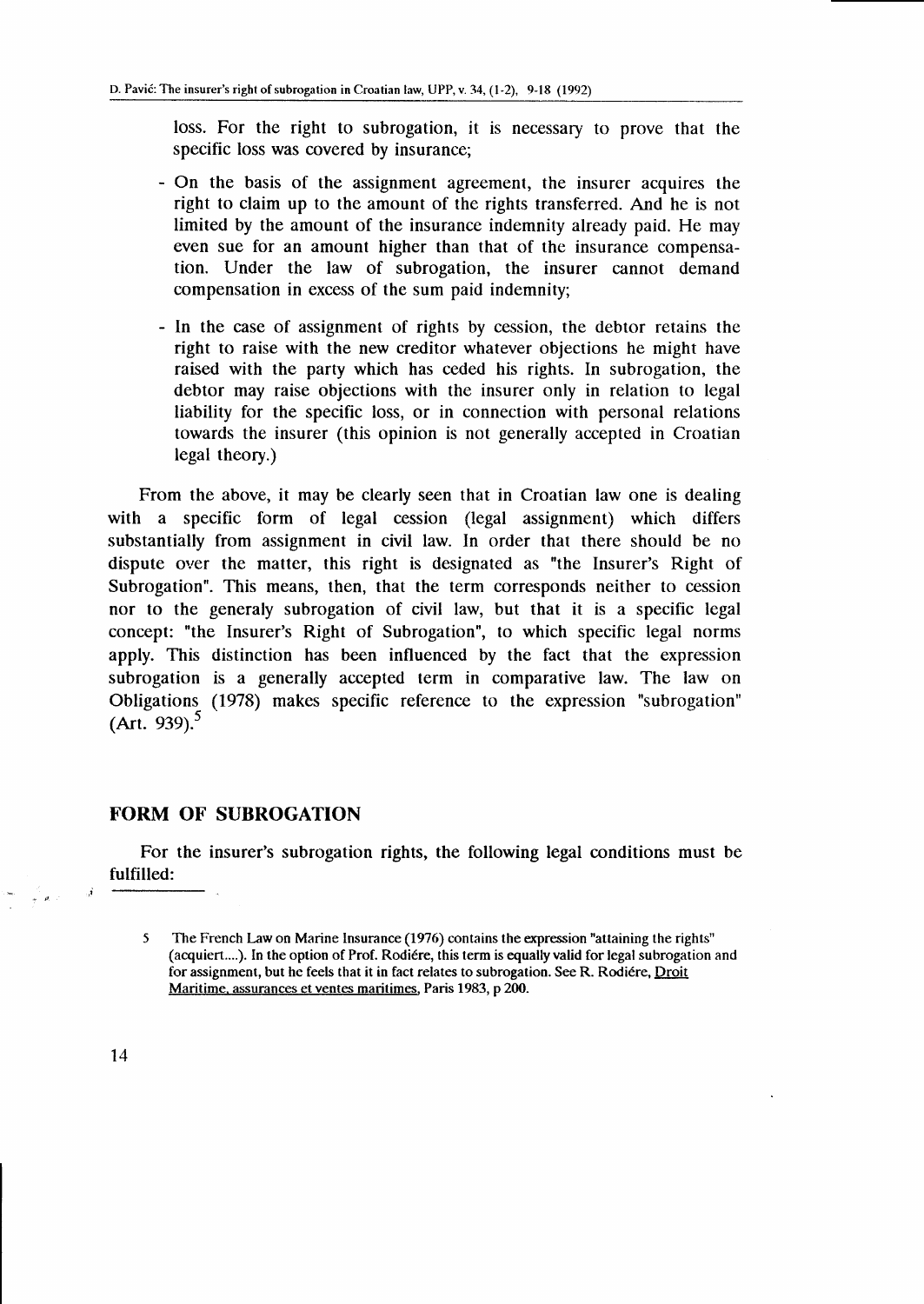loss. For the right to subrogation, it is necessary to prove that the specific loss was covered by insurance;

- On the basis of the assignment agreement, the insurer acquires the right to claim up to the amount of the rights transferred. And he is not limited by the amount of the insurance indemnity already paid. He may even sue for an amount higher than that of the insurance compensation. Under the law of subrogation, the insurer cannot demand compensation in excess of the sum paid indemnity;
- In the case of assignment of rights by cession, the debtor retains the right to raise with the new creditor whatever objections he might have raised with the party which has ceded his rights. In subrogation, the debtor may raise objections with the insurer only in relation to legal liability for the specific loss, or in connection with personal relations towards the insurer (this opinion is not generally accepted in Croatian legal theory.)

From the above, it may be clearly seen that in Croatian law one is dealing with a specific form of legal cession (legal assignment) which differs substantially from assignment in civil law. In order that there should be no dispute over the matter, this right is designated as "the Insurer's Right of Subrogation". This means, then, that the term corresponds neither to cession nor to the generaly subrogation of civil law, but that it is a specific legal concept: "the Insurer's Right of Subrogation", to which specific legal norms apply. This distinction has been influenced by the fact that the expression subrogation is a generally accepted term in comparative law. The law on Obligations\_ (1978) makes specific reference to the expression "subrogation" (Art. 939).<sup>5</sup>

#### FORM OF SUBROGATION

For the insurer's subrogation rights, the following legal conditions must be fulfilled:

<sup>5</sup> The French Law on Marine lnsurance (1976) contains the expression "attaining the rights" (acquiert....). In the option of Prof. Rodiére, this term is equally valid for legal subrogation and for assignment, but he feels that it in fact relates to subrogation. See R. Rodiére, Droit Maritime. assurances et ventes maritimes. Paris 1983, p 200.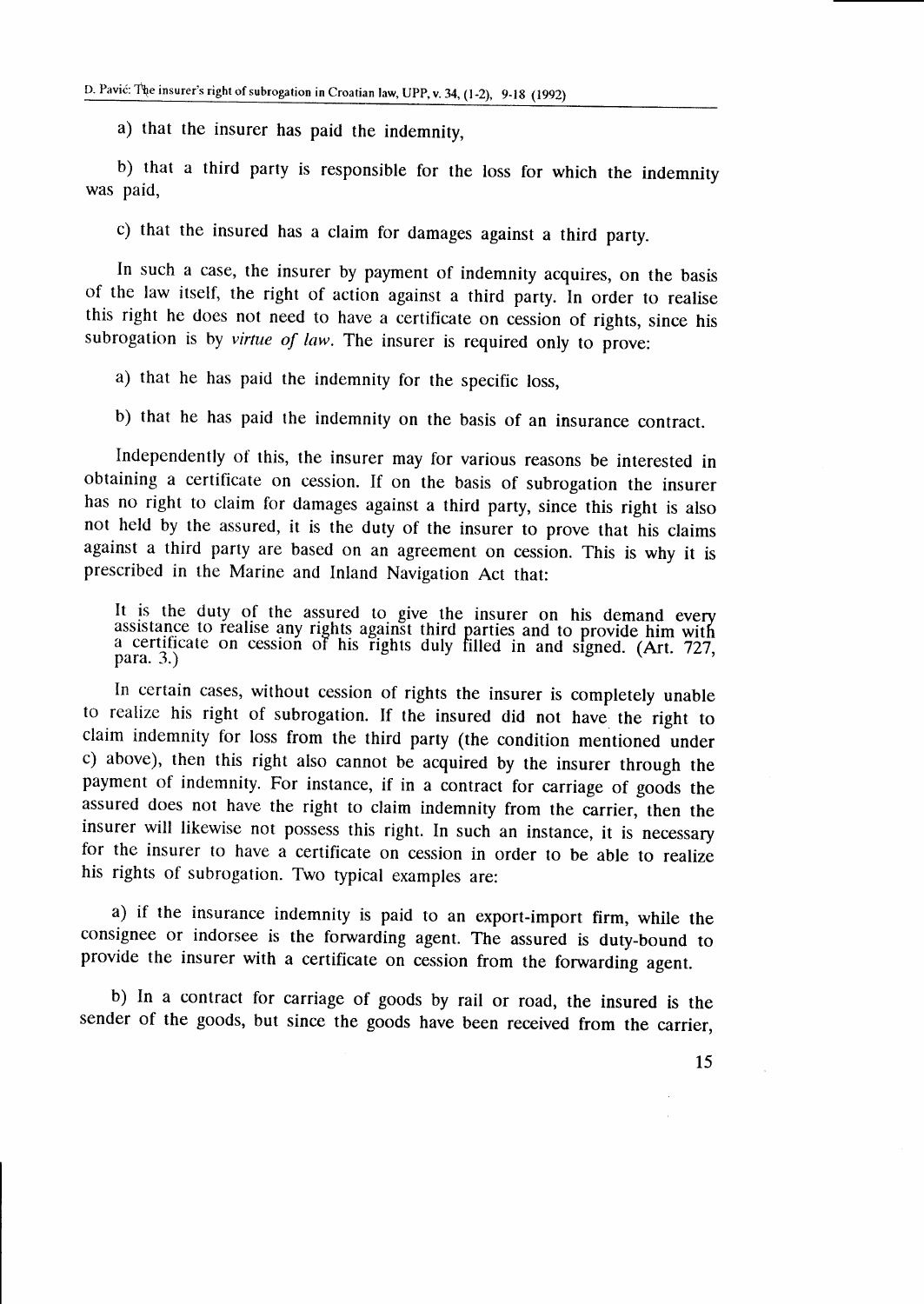a) that the insurer has paid the indemnity,

b) that a third party is responsible for the loss for which the indemnity was paid,

c) that the insured has a claim for damages against a third party.

In such a case, the insurer by payment of indemnity acquires, on the basis of the law itself, the right of action against a third parry. In order to realise this right he does not need to have a certificate on cession of rights, since his subrogation is by *virtue of law*. The insurer is required only to prove:

a) that he has paid the indemnity for the specific loss,

b) that he has paid the inclemnity on the basis of an insurance contract.

Independently of this, the insurer may for various reasons be interested in obtaining a certificate on cession. If on the basis of subrogation the insurer has no right to claim for damages against a third party, since this right is also not held by the assured, it is the duty of the insurer to prove that his claims against a third party are based on an agreement on cession. This is why it is prescribed in the Marine and Inland Navigation Act that:

It is the duty of the assured to give the insurer on his demand every assistance to realise any rights against third parties and to provide him with acertificate on cession of his rights duly filled in and signed. (Art. 727, para. 3.) para. 3.)

In certain cases, without cession of rights the insurer is completely unable to realize his right of subrogation. If the insured did not have the right to claim indemnity for loss from the third party (the condition mentioned under c) above), then this right also cannot be acquired by the insurer through the payment of indemnity. For instance, if in a contract for carriage of goods the assured does not have the right to claim indemnity from the carrier, then the insurer will likewise not possess this right. In such an instance, it is necessary for the insurer to have a certificate on cession in order to be able to realize his rights of subrogation. Two typical examples are:

a) if the insurance indemnity is paid to an export-import firm, while the consignee or indorsee is the fonuarding agent. The assured is duty-bound to provide the insurer with a certificate on cession from the forwarding agent.

b) In a contract for carriage of goods by rail or road, the insured is the sender of the goods, but since the goods have been received from the carrier,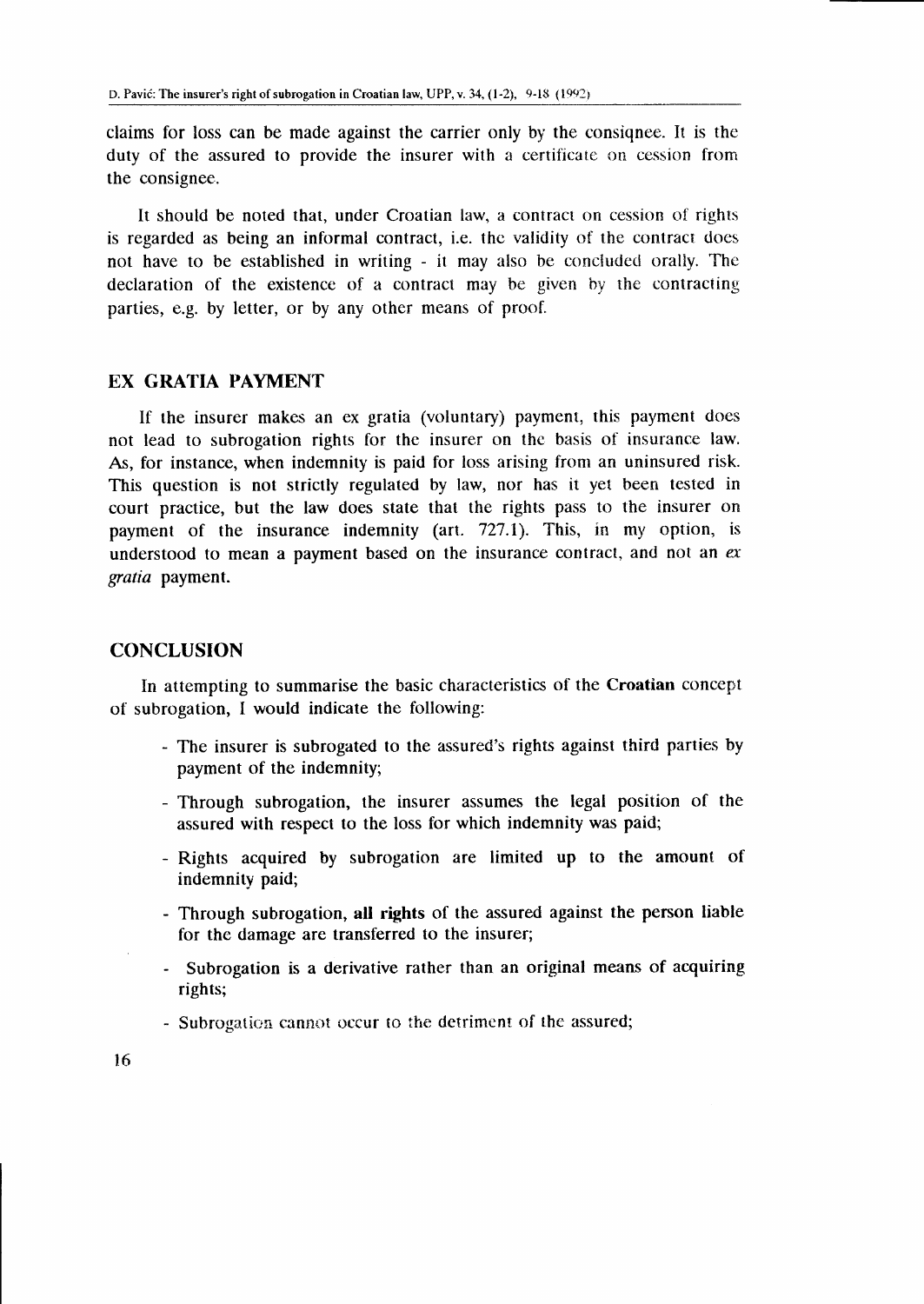claims for loss can be made against the carrier only by the consignee. It is the duty of the assured to provide the insurer with a certificate on cession from the consignee.

It should be noted that, under Croatian law, a contract on cession of rights is regarded as being an informal contract, i.e. the validity of the contract does not have to be established in writing - it may also be concluded orally. The declaration of the existence of a contract may be given by the contracting parties, e.g. by letter, or by any other means of proof.

### EX GRATIA PAYMENT

If the insurer makes an ex gratia (voluntary) payment, this payment does not lead to subrogation rights for the insurer on the basis of insurance law. As, for instance, when indemnity is paid for loss arising from an uninsured risk. This question is not strictly regulated by law, nor has it yet been tested in court practice, but the law does state that the rights pass to the insurer on payment of the insurance indemnity (art. 727.1). This, in my option, is understood to mean a payment based on the insurance contract, and not an  $ex$ gratia payment.

#### **CONCLUSION**

In attempting to summarise the basic characteristics of the Croatian concept of subrogation, I would indicate the following:

- The insurer is subrogated to the assured's rights against third parties by payment of the indemnity;
- Through subrogation, the insurer assumes the legal position of the assured with respect to the loss for which indemnity was paid;
- Rights acquired by subrogation are limited up to the amount of indemnity paid;
- Through subrogation, all rights of the assured against the person liable for the damage are transferred to the insurer;
- Subrogation is a derivative rather than an original means of acquiring rights;
- Subrogation cannot occur to the detriment of the assured;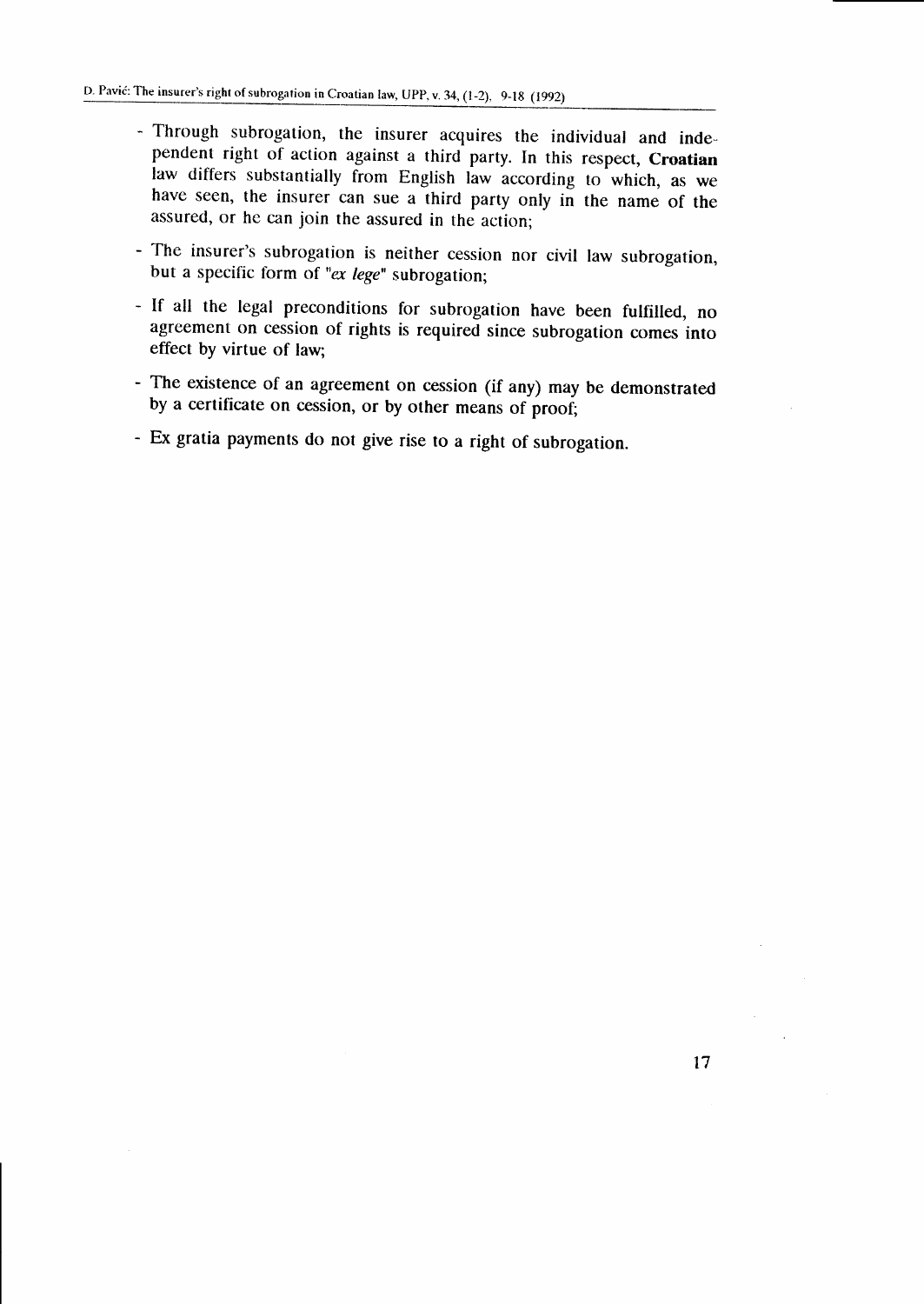- Through subrogation, the insurer acquires the individual and independent right of action against a third party. In this respect, Croatian law differs substantially from English law according to which, as we have seen, the insurer can sue a third party only in the name of the assured, or he can join the assured in the action;
- The insurer's subrogation is neither cession nor civil law subrogation, but a specific form of " $ex lege$ " subrogation;
- If all the legal preconditions for subrogation have been fulfilled, no agreement on cession of rights is required since subrogation comes into effect by virtue of law;
- The existence of an agreement on cession (if any) may be demonstrated by a certificate on cession, or by other means of proof;
- Ex gratia payments do nor give rise to a right of subrogation.